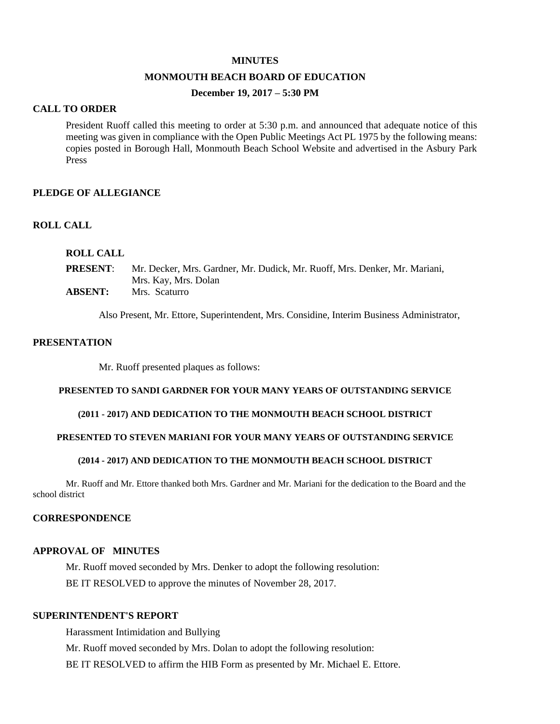#### **MINUTES**

#### **MONMOUTH BEACH BOARD OF EDUCATION**

## **December 19, 2017 – 5:30 PM**

#### **CALL TO ORDER**

President Ruoff called this meeting to order at 5:30 p.m. and announced that adequate notice of this meeting was given in compliance with the Open Public Meetings Act PL 1975 by the following means: copies posted in Borough Hall, Monmouth Beach School Website and advertised in the Asbury Park Press

### **PLEDGE OF ALLEGIANCE**

#### **ROLL CALL**

## **ROLL CALL**

| <b>PRESENT:</b> | Mr. Decker, Mrs. Gardner, Mr. Dudick, Mr. Ruoff, Mrs. Denker, Mr. Mariani, |
|-----------------|----------------------------------------------------------------------------|
|                 | Mrs. Kay, Mrs. Dolan                                                       |
| <b>ABSENT:</b>  | Mrs. Scaturro                                                              |

Also Present, Mr. Ettore, Superintendent, Mrs. Considine, Interim Business Administrator,

## **PRESENTATION**

Mr. Ruoff presented plaques as follows:

#### **PRESENTED TO SANDI GARDNER FOR YOUR MANY YEARS OF OUTSTANDING SERVICE**

### **(2011 - 2017) AND DEDICATION TO THE MONMOUTH BEACH SCHOOL DISTRICT**

### **PRESENTED TO STEVEN MARIANI FOR YOUR MANY YEARS OF OUTSTANDING SERVICE**

#### **(2014 - 2017) AND DEDICATION TO THE MONMOUTH BEACH SCHOOL DISTRICT**

Mr. Ruoff and Mr. Ettore thanked both Mrs. Gardner and Mr. Mariani for the dedication to the Board and the school district

## **CORRESPONDENCE**

#### **APPROVAL OF MINUTES**

Mr. Ruoff moved seconded by Mrs. Denker to adopt the following resolution: BE IT RESOLVED to approve the minutes of November 28, 2017.

### **SUPERINTENDENT'S REPORT**

Harassment Intimidation and Bullying Mr. Ruoff moved seconded by Mrs. Dolan to adopt the following resolution: BE IT RESOLVED to affirm the HIB Form as presented by Mr. Michael E. Ettore.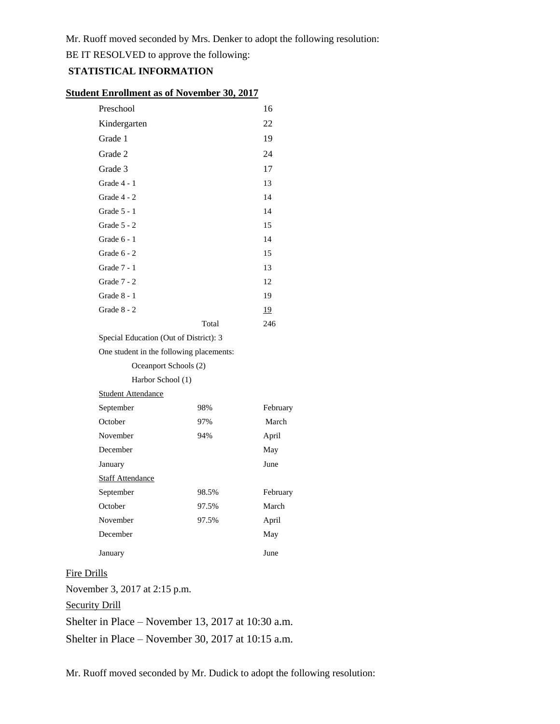Mr. Ruoff moved seconded by Mrs. Denker to adopt the following resolution:

BE IT RESOLVED to approve the following:

## **STATISTICAL INFORMATION**

| <b>Student Enrollment as of November 30, 2017</b> |  |
|---------------------------------------------------|--|
|---------------------------------------------------|--|

| Preschool                                |       | 16        |  |  |
|------------------------------------------|-------|-----------|--|--|
| Kindergarten                             |       | 22        |  |  |
| Grade 1                                  |       | 19        |  |  |
| Grade 2                                  |       | 24        |  |  |
| Grade 3                                  |       | 17        |  |  |
| Grade 4 - 1                              |       | 13        |  |  |
| Grade 4 - 2                              |       | 14        |  |  |
| Grade 5 - 1                              |       | 14        |  |  |
| Grade 5 - 2                              |       | 15        |  |  |
| Grade 6 - 1                              |       | 14        |  |  |
| Grade $6 - 2$                            |       | 15        |  |  |
| Grade 7 - 1                              |       | 13        |  |  |
| Grade 7 - 2                              |       | 12        |  |  |
| Grade 8 - 1                              |       | 19        |  |  |
| Grade $8 - 2$                            |       | <u>19</u> |  |  |
|                                          | Total | 246       |  |  |
| Special Education (Out of District): 3   |       |           |  |  |
| One student in the following placements: |       |           |  |  |
|                                          |       |           |  |  |

| Oceanport Schools (2)     |       |          |
|---------------------------|-------|----------|
| Harbor School (1)         |       |          |
| <b>Student Attendance</b> |       |          |
| September                 | 98%   | February |
| October                   | 97%   | March    |
| November                  | 94%   | April    |
| December                  |       | May      |
| January                   |       | June     |
| <b>Staff Attendance</b>   |       |          |
| September                 | 98.5% | February |
| October                   | 97.5% | March    |
| November                  | 97.5% | April    |
| December                  |       | May      |
| January                   |       | June     |

# Fire Drills

November 3, 2017 at 2:15 p.m.

Security Drill

Shelter in Place – November 13, 2017 at 10:30 a.m.

Shelter in Place – November 30, 2017 at 10:15 a.m.

Mr. Ruoff moved seconded by Mr. Dudick to adopt the following resolution: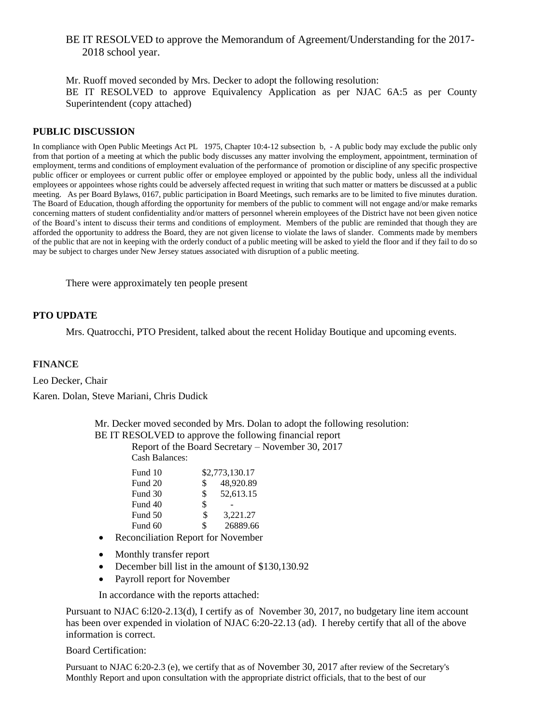# BE IT RESOLVED to approve the Memorandum of Agreement/Understanding for the 2017- 2018 school year.

Mr. Ruoff moved seconded by Mrs. Decker to adopt the following resolution: BE IT RESOLVED to approve Equivalency Application as per NJAC 6A:5 as per County Superintendent (copy attached)

### **PUBLIC DISCUSSION**

In compliance with Open Public Meetings Act PL 1975, Chapter 10:4-12 subsection b, - A public body may exclude the public only from that portion of a meeting at which the public body discusses any matter involving the employment, appointment, termination of employment, terms and conditions of employment evaluation of the performance of promotion or discipline of any specific prospective public officer or employees or current public offer or employee employed or appointed by the public body, unless all the individual employees or appointees whose rights could be adversely affected request in writing that such matter or matters be discussed at a public meeting. As per Board Bylaws, 0167, public participation in Board Meetings, such remarks are to be limited to five minutes duration. The Board of Education, though affording the opportunity for members of the public to comment will not engage and/or make remarks concerning matters of student confidentiality and/or matters of personnel wherein employees of the District have not been given notice of the Board's intent to discuss their terms and conditions of employment. Members of the public are reminded that though they are afforded the opportunity to address the Board, they are not given license to violate the laws of slander. Comments made by members of the public that are not in keeping with the orderly conduct of a public meeting will be asked to yield the floor and if they fail to do so may be subject to charges under New Jersey statues associated with disruption of a public meeting.

There were approximately ten people present

### **PTO UPDATE**

Mrs. Quatrocchi, PTO President, talked about the recent Holiday Boutique and upcoming events.

#### **FINANCE**

Leo Decker, Chair

Karen. Dolan, Steve Mariani, Chris Dudick

Mr. Decker moved seconded by Mrs. Dolan to adopt the following resolution: BE IT RESOLVED to approve the following financial report

Report of the Board Secretary – November 30, 2017

Cash Balances:

| Fund 10 | \$2,773,130.17  |
|---------|-----------------|
| Fund 20 | \$<br>48,920.89 |
| Fund 30 | \$<br>52,613.15 |
| Fund 40 | \$              |
| Fund 50 | \$<br>3.221.27  |
| Fund 60 | \$<br>26889.66  |
|         |                 |

- Reconciliation Report for November
- Monthly transfer report
- December bill list in the amount of \$130,130.92
- Payroll report for November

In accordance with the reports attached:

Pursuant to NJAC 6:l20-2.13(d), I certify as of November 30, 2017, no budgetary line item account has been over expended in violation of NJAC 6:20-22.13 (ad). I hereby certify that all of the above information is correct.

#### Board Certification:

Pursuant to NJAC 6:20-2.3 (e), we certify that as of November 30, 2017 after review of the Secretary's Monthly Report and upon consultation with the appropriate district officials, that to the best of our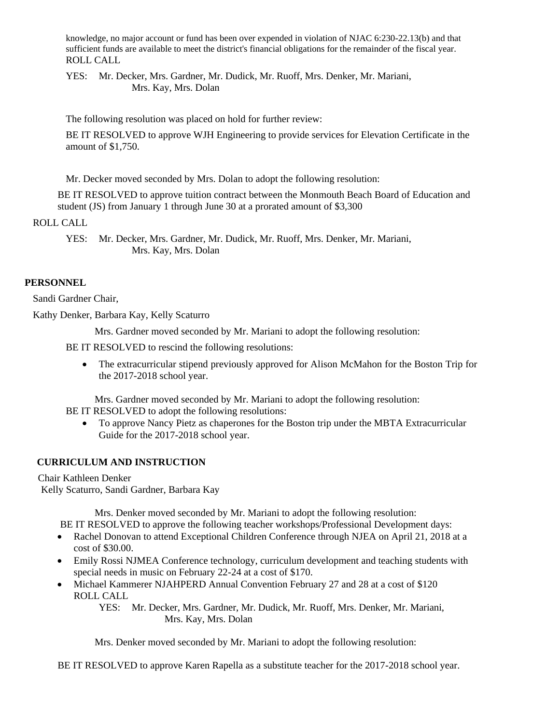knowledge, no major account or fund has been over expended in violation of NJAC 6:230-22.13(b) and that sufficient funds are available to meet the district's financial obligations for the remainder of the fiscal year. ROLL CALL

YES: Mr. Decker, Mrs. Gardner, Mr. Dudick, Mr. Ruoff, Mrs. Denker, Mr. Mariani, Mrs. Kay, Mrs. Dolan

The following resolution was placed on hold for further review:

BE IT RESOLVED to approve WJH Engineering to provide services for Elevation Certificate in the amount of \$1,750.

Mr. Decker moved seconded by Mrs. Dolan to adopt the following resolution:

BE IT RESOLVED to approve tuition contract between the Monmouth Beach Board of Education and student (JS) from January 1 through June 30 at a prorated amount of \$3,300

ROLL CALL

YES: Mr. Decker, Mrs. Gardner, Mr. Dudick, Mr. Ruoff, Mrs. Denker, Mr. Mariani, Mrs. Kay, Mrs. Dolan

## **PERSONNEL**

Sandi Gardner Chair,

Kathy Denker, Barbara Kay, Kelly Scaturro

Mrs. Gardner moved seconded by Mr. Mariani to adopt the following resolution:

BE IT RESOLVED to rescind the following resolutions:

 The extracurricular stipend previously approved for Alison McMahon for the Boston Trip for the 2017-2018 school year.

Mrs. Gardner moved seconded by Mr. Mariani to adopt the following resolution:

BE IT RESOLVED to adopt the following resolutions:

 To approve Nancy Pietz as chaperones for the Boston trip under the MBTA Extracurricular Guide for the 2017-2018 school year.

# **CURRICULUM AND INSTRUCTION**

Chair Kathleen Denker Kelly Scaturro, Sandi Gardner, Barbara Kay

Mrs. Denker moved seconded by Mr. Mariani to adopt the following resolution:

BE IT RESOLVED to approve the following teacher workshops/Professional Development days:

- Rachel Donovan to attend Exceptional Children Conference through NJEA on April 21, 2018 at a cost of \$30.00.
- Emily Rossi NJMEA Conference technology, curriculum development and teaching students with special needs in music on February 22-24 at a cost of \$170.
- Michael Kammerer NJAHPERD Annual Convention February 27 and 28 at a cost of \$120 ROLL CALL

YES: Mr. Decker, Mrs. Gardner, Mr. Dudick, Mr. Ruoff, Mrs. Denker, Mr. Mariani, Mrs. Kay, Mrs. Dolan

Mrs. Denker moved seconded by Mr. Mariani to adopt the following resolution:

BE IT RESOLVED to approve Karen Rapella as a substitute teacher for the 2017-2018 school year.